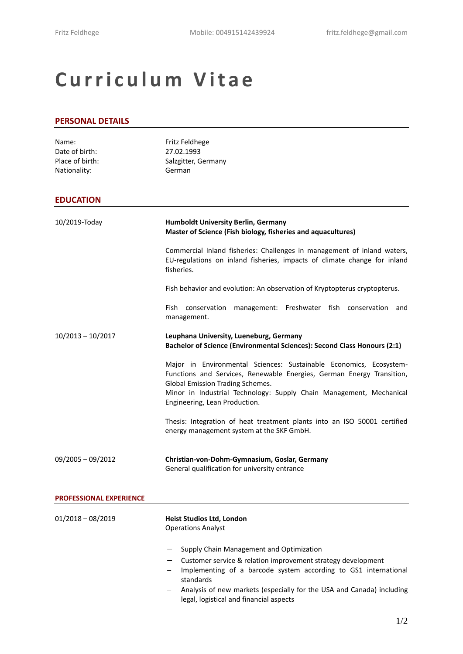# **C u r r i c u l u m V i t a e**

#### **PERSONAL DETAILS**

| Name:<br>Date of birth:<br>Place of birth: | Fritz Feldhege<br>27.02.1993<br>Salzgitter, Germany                                                                                                                                                                                                                                     |
|--------------------------------------------|-----------------------------------------------------------------------------------------------------------------------------------------------------------------------------------------------------------------------------------------------------------------------------------------|
| Nationality:                               | German                                                                                                                                                                                                                                                                                  |
| <b>EDUCATION</b>                           |                                                                                                                                                                                                                                                                                         |
| 10/2019-Today                              | <b>Humboldt University Berlin, Germany</b><br>Master of Science (Fish biology, fisheries and aquacultures)                                                                                                                                                                              |
|                                            | Commercial Inland fisheries: Challenges in management of inland waters,<br>EU-regulations on inland fisheries, impacts of climate change for inland<br>fisheries.                                                                                                                       |
|                                            | Fish behavior and evolution: An observation of Kryptopterus cryptopterus.                                                                                                                                                                                                               |
|                                            | management: Freshwater fish conservation<br>Fish conservation<br>and<br>management.                                                                                                                                                                                                     |
| $10/2013 - 10/2017$                        | Leuphana University, Lueneburg, Germany<br>Bachelor of Science (Environmental Sciences): Second Class Honours (2:1)                                                                                                                                                                     |
|                                            | Major in Environmental Sciences: Sustainable Economics, Ecosystem-<br>Functions and Services, Renewable Energies, German Energy Transition,<br>Global Emission Trading Schemes.<br>Minor in Industrial Technology: Supply Chain Management, Mechanical<br>Engineering, Lean Production. |
|                                            | Thesis: Integration of heat treatment plants into an ISO 50001 certified<br>energy management system at the SKF GmbH.                                                                                                                                                                   |
| $09/2005 - 09/2012$                        | Christian-von-Dohm-Gymnasium, Goslar, Germany<br>General qualification for university entrance                                                                                                                                                                                          |
| <b>PROFESSIONAL EXPERIENCE</b>             |                                                                                                                                                                                                                                                                                         |
| $01/2018 - 08/2019$                        | Heist Studios Ltd, London<br><b>Operations Analyst</b>                                                                                                                                                                                                                                  |
|                                            | Supply Chain Management and Optimization                                                                                                                                                                                                                                                |
|                                            | Customer service & relation improvement strategy development<br>Implementing of a barcode system according to GS1 international<br>$\qquad \qquad -$<br>standards                                                                                                                       |
|                                            | Analysis of new markets (especially for the USA and Canada) including                                                                                                                                                                                                                   |

legal, logistical and financial aspects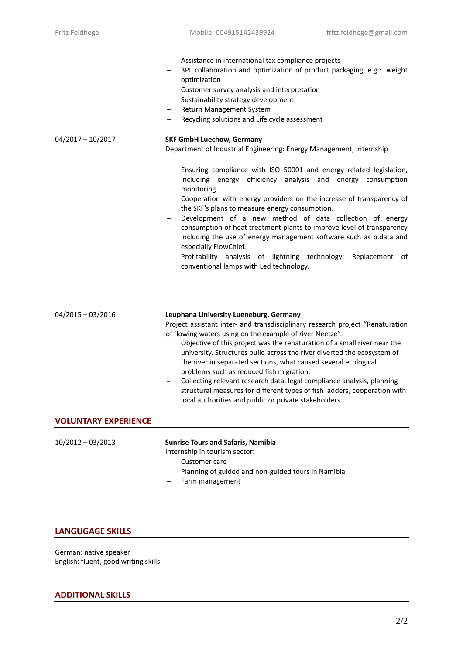| Assistance in international tax compliance projects                                                                                                                                                                                                                                                                                                                                                                                                                                                                                                                                                                                              |
|--------------------------------------------------------------------------------------------------------------------------------------------------------------------------------------------------------------------------------------------------------------------------------------------------------------------------------------------------------------------------------------------------------------------------------------------------------------------------------------------------------------------------------------------------------------------------------------------------------------------------------------------------|
| 3PL collaboration and optimization of product packaging, e.g.: weight<br>optimization                                                                                                                                                                                                                                                                                                                                                                                                                                                                                                                                                            |
| Customer survey analysis and interpretation<br>$\qquad \qquad -$                                                                                                                                                                                                                                                                                                                                                                                                                                                                                                                                                                                 |
| Sustainability strategy development                                                                                                                                                                                                                                                                                                                                                                                                                                                                                                                                                                                                              |
| Return Management System<br>$\qquad \qquad -$                                                                                                                                                                                                                                                                                                                                                                                                                                                                                                                                                                                                    |
| Recycling solutions and Life cycle assessment<br>-                                                                                                                                                                                                                                                                                                                                                                                                                                                                                                                                                                                               |
| <b>SKF GmbH Luechow, Germany</b>                                                                                                                                                                                                                                                                                                                                                                                                                                                                                                                                                                                                                 |
| Department of Industrial Engineering: Energy Management, Internship                                                                                                                                                                                                                                                                                                                                                                                                                                                                                                                                                                              |
| Ensuring compliance with ISO 50001 and energy related legislation,<br>including energy efficiency analysis and energy consumption<br>monitoring.<br>Cooperation with energy providers on the increase of transparency of<br>the SKF's plans to measure energy consumption.<br>Development of a new method of data collection of energy<br>consumption of heat treatment plants to improve level of transparency<br>including the use of energy management software such as b.data and<br>especially FlowChief.<br>Profitability analysis of lightning technology: Replacement of<br>$\qquad \qquad -$<br>conventional lamps with Led technology. |
|                                                                                                                                                                                                                                                                                                                                                                                                                                                                                                                                                                                                                                                  |

| $04/2015 - 03/2016$         | Leuphana University Lueneburg, Germany<br>Project assistant inter- and transdisciplinary research project "Renaturation"<br>of flowing waters using on the example of river Neetze".<br>Objective of this project was the renaturation of a small river near the<br>university. Structures build across the river diverted the ecosystem of<br>the river in separated sections, what caused several ecological<br>problems such as reduced fish migration.<br>Collecting relevant research data, legal compliance analysis, planning<br>structural measures for different types of fish ladders, cooperation with<br>local authorities and public or private stakeholders. |
|-----------------------------|----------------------------------------------------------------------------------------------------------------------------------------------------------------------------------------------------------------------------------------------------------------------------------------------------------------------------------------------------------------------------------------------------------------------------------------------------------------------------------------------------------------------------------------------------------------------------------------------------------------------------------------------------------------------------|
| <b>VOLUNTARY EXPERIENCE</b> |                                                                                                                                                                                                                                                                                                                                                                                                                                                                                                                                                                                                                                                                            |
|                             |                                                                                                                                                                                                                                                                                                                                                                                                                                                                                                                                                                                                                                                                            |

| $10/2012 - 03/2013$ | <b>Sunrise Tours and Safaris, Namibia</b>              |
|---------------------|--------------------------------------------------------|
|                     | Internship in tourism sector:                          |
|                     | - Customer care                                        |
|                     | $-$ Planning of guided and non-guided tours in Namibia |
|                     |                                                        |

− Farm management

## **LANGUGAGE SKILLS**

German: native speaker English: fluent, good writing skills

# **ADDITIONAL SKILLS**